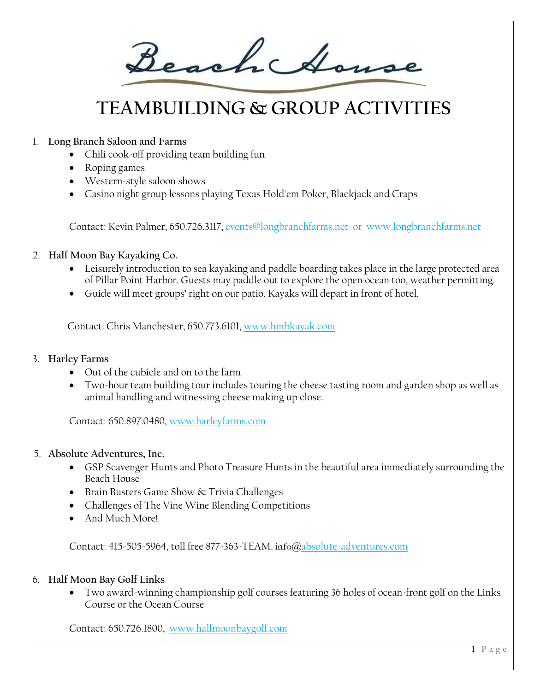Beachchouse

# **TEAMBUILDING & GROUP ACTIVITIES**

# 1. **Long Branch Saloon and Farms**

- Chili cook-off providing team building fun
- Roping games
- Western-style saloon shows
- Casino night group lessons playing Texas Hold'em Poker, Blackjack and Craps

Contact: Kevin Palmer, 650.726.3117, [events@longbranchfarms.net](mailto:events@longbranchfarms.net) or [www.longbranchfarms.net](http://www.longbranchfarms.net/) 

## 2. **Half Moon Bay Kayaking Co.**

- Leisurely introduction to sea kayaking and paddle boarding takes place in the large protected area of Pillar Point Harbor. Guests may paddle out to explore the open ocean too, weather permitting.
- Guide will meet groups' right on our patio. Kayaks will depart in front of hotel.

Contact: Chris Manchester, 650.773.6101, [www.hmbkayak.com](http://www.hmbkayak.com/) 

## 3. **Harley Farms**

- Out of the cubicle and on to the farm
- Two-hour team building tour includes touring the cheese tasting room and garden shop as well as animal handling and witnessing cheese making up close.

Contact: 650.897.0480[, www.harleyfarms.com](http://www.harleyfarms.com/) 

- 5. **Absolute Adventures, Inc.**
	- GSP Scavenger Hunts and Photo Treasure Hunts in the beautiful area immediately surrounding the Beach House
	- Brain Busters Game Show & Trivia Challenges
	- Challenges of The Vine Wine Blending Competitions
	- And Much More!

Contact: 415-505-5964, toll free 877-363-TEAM, info@absolu[te-adventures.c](http://e-adventures./)om

## 6. **Half Moon Bay Golf Links**

• Two award-winning championship golf courses featuring 36 holes of ocean-front golf on the Links Course or the Ocean Course

Contact: 650.726.1800, [www.halfmoonbaygolf.com](http://www.halfmoonbaygolf.com/)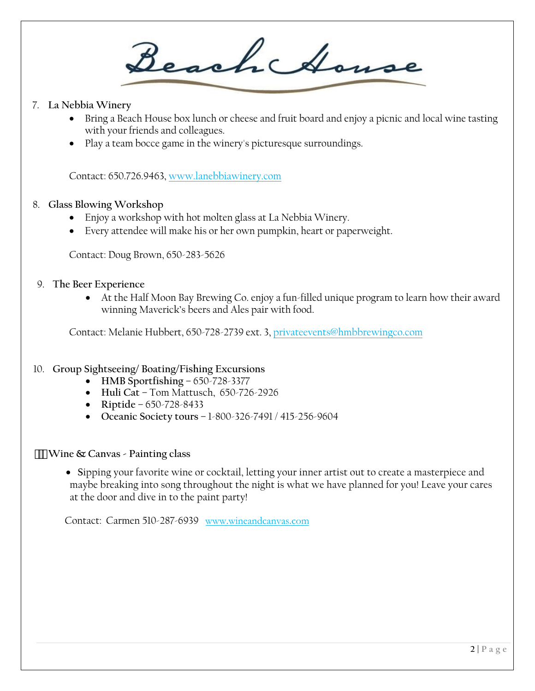Beach Amse

## 7. **La Nebbia Winery**

- Bring a Beach House box lunch or cheese and fruit board and enjoy a picnic and local wine tasting with your friends and colleagues.
- Play a team bocce game in the winery's picturesque surroundings.

Contact: 650.726.9463, [www.lanebbiawinery.com](http://www.lanebbiawinery.com/)

## 8. **Glass Blowing Workshop**

- Enjoy a workshop with hot molten glass at La Nebbia Winery.
- Every attendee will make his or her own pumpkin, heart or paperweight.

Contact: Doug Brown, 650-283-5626

#### 9. **The Beer Experience**

• At the Half Moon Bay Brewing Co. enjoy a fun-filled unique program to learn how their award winning Maverick's beers and Ales pair with food.

Contact: Melanie Hubbert, 650-728-2739 ext. 3, [privateevents@hmbbrewingco.com](mailto:privateevents@hmbbrewingco.com)

## 10. **Group Sightseeing/ Boating/Fishing Excursions**

- **HMB Sportfishing** 650-728-3377
- **Huli Cat** Tom Mattusch, 650-726-2926
- **Riptide**  650-728-8433
- **Oceanic Society tours** 1-800-326-7491 / 415-256-9604

#### **Wine & Canvas - Painting class**

• **S**ipping your favorite wine or cocktail, letting your inner artist out to create a masterpiece and maybe breaking into song throughout the night is what we have planned for you! Leave your cares at the door and dive in to the paint party!

Contact: Carmen 510-287-6939 www.wineandcanvas.com